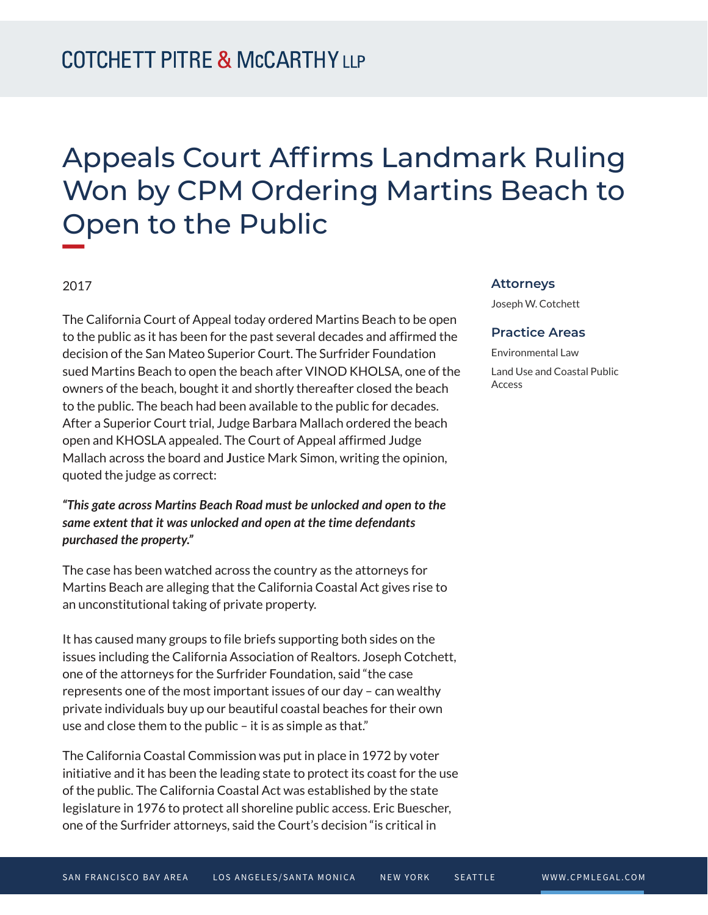# Appeals Court Affirms Landmark Ruling Won by CPM Ordering Martins Beach to Open to the Public

### 2017

The California Court of Appeal today ordered Martins Beach to be open to the public as it has been for the past several decades and affirmed the decision of the San Mateo Superior Court. The Surfrider Foundation sued Martins Beach to open the beach after VINOD KHOLSA, one of the owners of the beach, bought it and shortly thereafter closed the beach to the public. The beach had been available to the public for decades. After a Superior Court trial, Judge Barbara Mallach ordered the beach open and KHOSLA appealed. The Court of Appeal affirmed Judge Mallach across the board and **J**ustice Mark Simon, writing the opinion, quoted the judge as correct:

## *"This gate across Martins Beach Road must be unlocked and open to the same extent that it was unlocked and open at the time defendants purchased the property."*

The case has been watched across the country as the attorneys for Martins Beach are alleging that the California Coastal Act gives rise to an unconstitutional taking of private property.

It has caused many groups to file briefs supporting both sides on the issues including the California Association of Realtors. Joseph Cotchett, one of the attorneys for the Surfrider Foundation, said "the case represents one of the most important issues of our day – can wealthy private individuals buy up our beautiful coastal beaches for their own use and close them to the public – it is as simple as that."

The California Coastal Commission was put in place in 1972 by voter initiative and it has been the leading state to protect its coast for the use of the public. The California Coastal Act was established by the state legislature in 1976 to protect all shoreline public access. Eric Buescher, one of the Surfrider attorneys, said the Court's decision "is critical in

#### **Attorneys**

Joseph W. Cotchett

#### **Practice Areas**

Environmental Law Land Use and Coastal Public Access